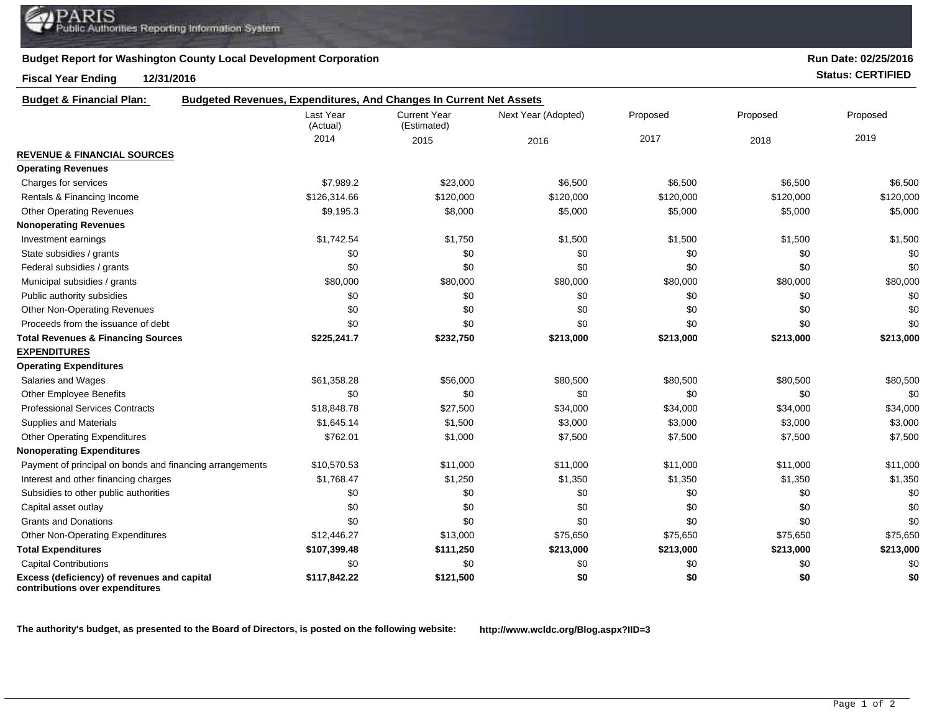## **Budget Report for Washington County Local Development Corporation**

## **Fiscal Year Ending 12/31/2016 Status: CERTIFIED**

**contributions over expenditures**

**Run Date: 02/25/2016**

| <b>Budget &amp; Financial Plan:</b>                      | <b>Budgeted Revenues, Expenditures, And Changes In Current Net Assets</b> |                                    |                     |           |           |           |
|----------------------------------------------------------|---------------------------------------------------------------------------|------------------------------------|---------------------|-----------|-----------|-----------|
|                                                          | Last Year<br>(Actual)                                                     | <b>Current Year</b><br>(Estimated) | Next Year (Adopted) | Proposed  | Proposed  | Proposed  |
|                                                          | 2014                                                                      | 2015                               | 2016                | 2017      | 2018      | 2019      |
| <b>REVENUE &amp; FINANCIAL SOURCES</b>                   |                                                                           |                                    |                     |           |           |           |
| <b>Operating Revenues</b>                                |                                                                           |                                    |                     |           |           |           |
| Charges for services                                     | \$7,989.2                                                                 | \$23,000                           | \$6,500             | \$6,500   | \$6,500   | \$6,500   |
| Rentals & Financing Income                               | \$126,314.66                                                              | \$120,000                          | \$120,000           | \$120,000 | \$120,000 | \$120,000 |
| <b>Other Operating Revenues</b>                          | \$9,195.3                                                                 | \$8,000                            | \$5,000             | \$5,000   | \$5,000   | \$5,000   |
| <b>Nonoperating Revenues</b>                             |                                                                           |                                    |                     |           |           |           |
| Investment earnings                                      | \$1,742.54                                                                | \$1,750                            | \$1,500             | \$1,500   | \$1,500   | \$1,500   |
| State subsidies / grants                                 | \$0                                                                       | \$0                                | \$0                 | \$0       | \$0       | \$0       |
| Federal subsidies / grants                               | \$0                                                                       | \$0                                | \$0                 | \$0       | \$0       | \$0       |
| Municipal subsidies / grants                             | \$80,000                                                                  | \$80,000                           | \$80,000            | \$80,000  | \$80,000  | \$80,000  |
| Public authority subsidies                               | \$0                                                                       | \$0                                | \$0                 | \$0       | \$0       | \$0       |
| <b>Other Non-Operating Revenues</b>                      | \$0                                                                       | \$0                                | \$0                 | \$0       | \$0       | \$0       |
| Proceeds from the issuance of debt                       | \$0                                                                       | \$0                                | \$0                 | \$0       | \$0       | \$0       |
| <b>Total Revenues &amp; Financing Sources</b>            | \$225,241.7                                                               | \$232,750                          | \$213,000           | \$213,000 | \$213,000 | \$213,000 |
| <b>EXPENDITURES</b>                                      |                                                                           |                                    |                     |           |           |           |
| <b>Operating Expenditures</b>                            |                                                                           |                                    |                     |           |           |           |
| Salaries and Wages                                       | \$61,358.28                                                               | \$56,000                           | \$80,500            | \$80,500  | \$80,500  | \$80,500  |
| <b>Other Employee Benefits</b>                           | \$0                                                                       | \$0                                | \$0                 | \$0       | \$0       | \$0       |
| <b>Professional Services Contracts</b>                   | \$18,848.78                                                               | \$27,500                           | \$34,000            | \$34,000  | \$34,000  | \$34,000  |
| <b>Supplies and Materials</b>                            | \$1,645.14                                                                | \$1,500                            | \$3,000             | \$3,000   | \$3,000   | \$3,000   |
| <b>Other Operating Expenditures</b>                      | \$762.01                                                                  | \$1,000                            | \$7,500             | \$7,500   | \$7,500   | \$7,500   |
| <b>Nonoperating Expenditures</b>                         |                                                                           |                                    |                     |           |           |           |
| Payment of principal on bonds and financing arrangements | \$10,570.53                                                               | \$11,000                           | \$11,000            | \$11,000  | \$11,000  | \$11,000  |
| Interest and other financing charges                     | \$1,768.47                                                                | \$1,250                            | \$1,350             | \$1,350   | \$1,350   | \$1,350   |
| Subsidies to other public authorities                    | \$0                                                                       | \$0                                | \$0                 | \$0       | \$0       | \$0       |
| Capital asset outlay                                     | \$0                                                                       | \$0                                | \$0                 | \$0       | \$0       | \$0       |
| <b>Grants and Donations</b>                              | \$0                                                                       | \$0                                | \$0                 | \$0       | \$0       | \$0       |
| <b>Other Non-Operating Expenditures</b>                  | \$12,446.27                                                               | \$13,000                           | \$75,650            | \$75,650  | \$75,650  | \$75,650  |
| <b>Total Expenditures</b>                                | \$107,399.48                                                              | \$111,250                          | \$213,000           | \$213,000 | \$213,000 | \$213,000 |
| <b>Capital Contributions</b>                             | \$0                                                                       | \$0                                | \$0                 | \$0       | \$0       | \$0       |
| Excess (deficiency) of revenues and capital              | \$117,842.22                                                              | \$121,500                          | \$0                 | \$0       | \$0       | \$0       |

**The authority's budget, as presented to the Board of Directors, is posted on the following website: http://www.wcldc.org/Blog.aspx?IID=3**